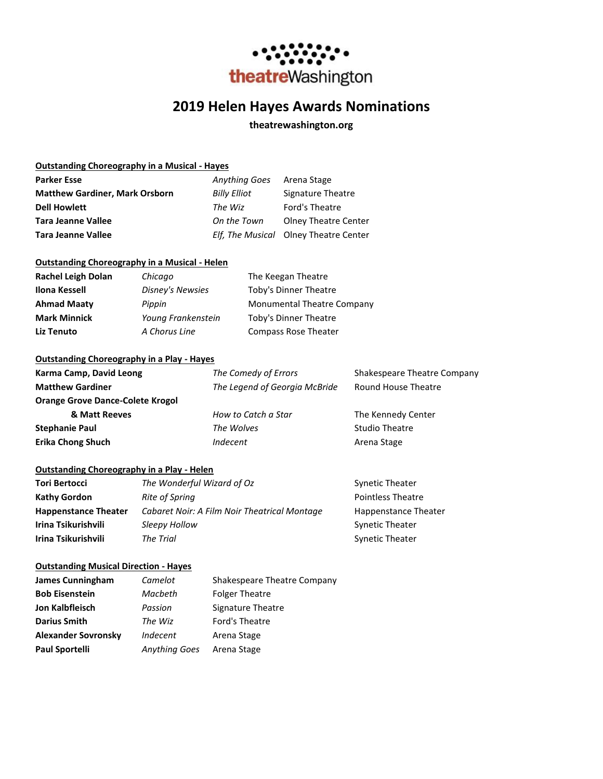

# **2019 Helen Hayes Awards Nominations**

# **theatrewashington.org**

#### **Outstanding Choreography in a Musical - Hayes**

| <b>Parker Esse</b>                    | <b>Anything Goes</b> | Arena Stage                           |
|---------------------------------------|----------------------|---------------------------------------|
| <b>Matthew Gardiner, Mark Orsborn</b> | <b>Billy Elliot</b>  | Signature Theatre                     |
| <b>Dell Howlett</b>                   | The Wiz              | Ford's Theatre                        |
| <b>Tara Jeanne Vallee</b>             | On the Town          | <b>Olney Theatre Center</b>           |
| <b>Tara Jeanne Vallee</b>             |                      | Elf, The Musical Olney Theatre Center |

## **Outstanding Choreography in a Musical - Helen**

| <b>Rachel Leigh Dolan</b> | Chicago            | The Keegan Theatre                |
|---------------------------|--------------------|-----------------------------------|
| Ilona Kessell             | Disney's Newsies   | Toby's Dinner Theatre             |
| <b>Ahmad Maaty</b>        | Pippin             | <b>Monumental Theatre Company</b> |
| <b>Mark Minnick</b>       | Young Frankenstein | Toby's Dinner Theatre             |
| Liz Tenuto                | A Chorus Line      | Compass Rose Theater              |

# **Outstanding Choreography in a Play - Hayes**

| Karma Camp, David Leong                 | The Comedy of Errors                                 | Shakespeare Theatre Company |
|-----------------------------------------|------------------------------------------------------|-----------------------------|
| <b>Matthew Gardiner</b>                 | The Legend of Georgia McBride<br>Round House Theatre |                             |
| <b>Orange Grove Dance-Colete Krogol</b> |                                                      |                             |
| & Matt Reeves                           | How to Catch a Star                                  | The Kennedy Center          |
| <b>Stephanie Paul</b>                   | The Wolves                                           | <b>Studio Theatre</b>       |
| Erika Chong Shuch                       | Indecent                                             | Arena Stage                 |
|                                         |                                                      |                             |

# **Outstanding Choreography in a Play - Helen**

| <b>Tori Bertocci</b>        | The Wonderful Wizard of Oz                   | <b>Synetic Theater</b>   |
|-----------------------------|----------------------------------------------|--------------------------|
| <b>Kathy Gordon</b>         | Rite of Spring                               | <b>Pointless Theatre</b> |
| <b>Happenstance Theater</b> | Cabaret Noir: A Film Noir Theatrical Montage | Happenstance Theater     |
| Irina Tsikurishvili         | Sleepy Hollow                                | <b>Synetic Theater</b>   |
| Irina Tsikurishvili         | The Trial                                    | <b>Synetic Theater</b>   |
|                             |                                              |                          |

#### **Outstanding Musical Direction - Hayes**

| <b>James Cunningham</b>    | Camelot              | Shakespeare Theatre Company |
|----------------------------|----------------------|-----------------------------|
| <b>Bob Eisenstein</b>      | Macbeth              | <b>Folger Theatre</b>       |
| Jon Kalbfleisch            | Passion              | Signature Theatre           |
| <b>Darius Smith</b>        | The Wiz              | Ford's Theatre              |
| <b>Alexander Sovronsky</b> | <b>Indecent</b>      | Arena Stage                 |
| <b>Paul Sportelli</b>      | <b>Anything Goes</b> | Arena Stage                 |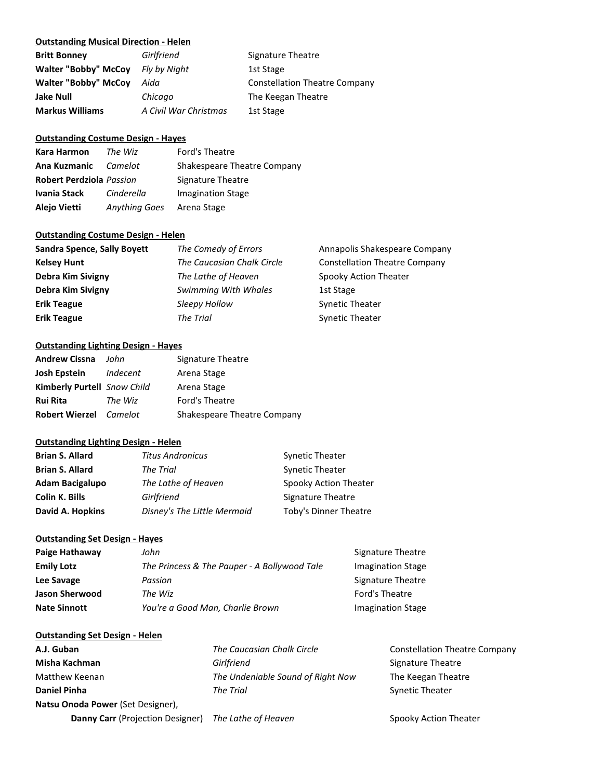# **Outstanding Musical Direction - Helen**

| <b>Britt Bonney</b>         | Girlfriend            | Signature Theatre                    |
|-----------------------------|-----------------------|--------------------------------------|
| Walter "Bobby" McCoy        | Fly by Night          | 1st Stage                            |
| <b>Walter "Bobby" McCoy</b> | Aida                  | <b>Constellation Theatre Company</b> |
| <b>Jake Null</b>            | Chicago               | The Keegan Theatre                   |
| <b>Markus Williams</b>      | A Civil War Christmas | 1st Stage                            |

#### **Outstanding Costume Design - Hayes**

| Kara Harmon                        | The Wiz              | Ford's Theatre              |
|------------------------------------|----------------------|-----------------------------|
| <b>Ana Kuzmanic</b> <i>Camelot</i> |                      | Shakespeare Theatre Company |
| <b>Robert Perdziola Passion</b>    |                      | Signature Theatre           |
| Ivania Stack                       | Cinderella           | <b>Imagination Stage</b>    |
| <b>Alejo Vietti</b>                | <b>Anything Goes</b> | Arena Stage                 |

# **Outstanding Costume Design - Helen**

| <b>Sandra Spence, Sally Boyett</b> | The Comedy of Errors       | Annapolis Shakespeare Company        |
|------------------------------------|----------------------------|--------------------------------------|
| <b>Kelsey Hunt</b>                 | The Caucasian Chalk Circle | <b>Constellation Theatre Company</b> |
| Debra Kim Sivigny                  | The Lathe of Heaven        | Spooky Action Theater                |
| Debra Kim Sivigny                  | Swimming With Whales       | 1st Stage                            |
| <b>Erik Teague</b>                 | Sleepy Hollow              | <b>Synetic Theater</b>               |
| <b>Erik Teague</b>                 | The Trial                  | <b>Synetic Theater</b>               |

#### **Outstanding Lighting Design - Hayes**

| <b>Andrew Cissna</b>               | John     | Signature Theatre           |
|------------------------------------|----------|-----------------------------|
| Josh Epstein                       | Indecent | Arena Stage                 |
| <b>Kimberly Purtell</b> Snow Child |          | Arena Stage                 |
| <b>Rui Rita</b>                    | The Wiz  | Ford's Theatre              |
| <b>Robert Wierzel</b> Camelot      |          | Shakespeare Theatre Company |

#### **Outstanding Lighting Design - Helen**

| <b>Brian S. Allard</b> | <b>Titus Andronicus</b>     | <b>Synetic Theater</b> |
|------------------------|-----------------------------|------------------------|
| <b>Brian S. Allard</b> | The Trial                   | <b>Synetic Theater</b> |
| <b>Adam Bacigalupo</b> | The Lathe of Heaven         | Spooky Action Theater  |
| <b>Colin K. Bills</b>  | Girlfriend                  | Signature Theatre      |
| David A. Hopkins       | Disney's The Little Mermaid | Toby's Dinner Theatre  |

#### **Outstanding Set Design - Hayes**

| Paige Hathaway      | John                                         | Signature Theatre |
|---------------------|----------------------------------------------|-------------------|
| <b>Emily Lotz</b>   | The Princess & The Pauper - A Bollywood Tale | Imagination Stage |
| Lee Savage          | Passion                                      | Signature Theatre |
| Jason Sherwood      | The Wiz                                      | Ford's Theatre    |
| <b>Nate Sinnott</b> | You're a Good Man, Charlie Brown             | Imagination Stage |

# **Outstanding Set Design - Helen**

| A.J. Guban                        | The Caucasian Chalk Circle        | <b>Constellation Theatre Company</b> |
|-----------------------------------|-----------------------------------|--------------------------------------|
| Misha Kachman                     | Girlfriend                        | Signature Theatre                    |
| Matthew Keenan                    | The Undeniable Sound of Right Now | The Keegan Theatre                   |
| <b>Daniel Pinha</b>               | The Trial                         | <b>Synetic Theater</b>               |
| Natsu Onoda Power (Set Designer), |                                   |                                      |
| Danny Carr (Projection Designer)  | The Lathe of Heaven               | Spooky Action Theater                |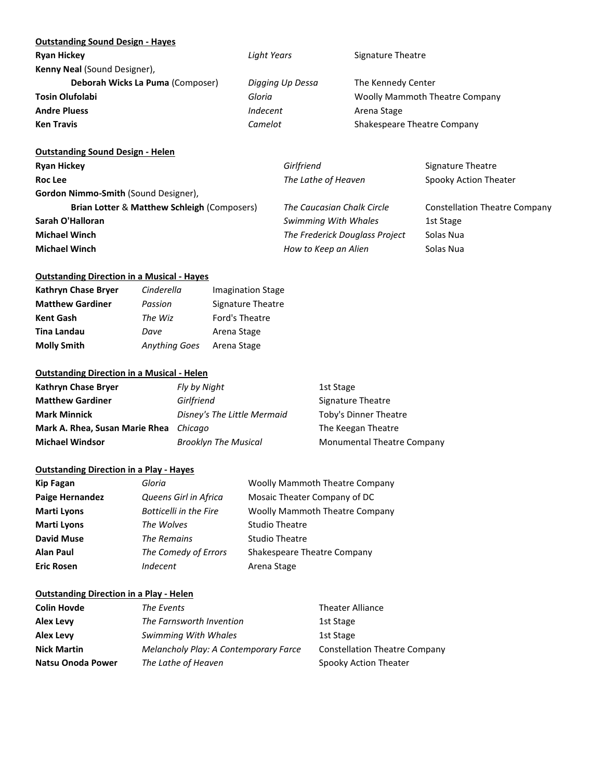| <b>Outstanding Sound Design - Hayes</b>                |             |                            |                                |                                       |
|--------------------------------------------------------|-------------|----------------------------|--------------------------------|---------------------------------------|
| <b>Ryan Hickey</b>                                     | Light Years |                            | <b>Signature Theatre</b>       |                                       |
| Kenny Neal (Sound Designer),                           |             |                            |                                |                                       |
| Deborah Wicks La Puma (Composer)                       |             | Digging Up Dessa           | The Kennedy Center             |                                       |
| <b>Tosin Olufolabi</b>                                 | Gloria      |                            |                                | <b>Woolly Mammoth Theatre Company</b> |
| <b>Andre Pluess</b>                                    | Indecent    |                            | Arena Stage                    |                                       |
| <b>Ken Travis</b>                                      | Camelot     |                            |                                | Shakespeare Theatre Company           |
| <b>Outstanding Sound Design - Helen</b>                |             |                            |                                |                                       |
| <b>Ryan Hickey</b>                                     |             | Girlfriend                 |                                | Signature Theatre                     |
| Roc Lee                                                |             | The Lathe of Heaven        |                                | Spooky Action Theater                 |
| Gordon Nimmo-Smith (Sound Designer),                   |             |                            |                                |                                       |
| <b>Brian Lotter &amp; Matthew Schleigh (Composers)</b> |             | The Caucasian Chalk Circle |                                | <b>Constellation Theatre Company</b>  |
| Sarah O'Halloran                                       |             | Swimming With Whales       |                                | 1st Stage                             |
| <b>Michael Winch</b>                                   |             |                            | The Frederick Douglass Project | Solas Nua                             |

# **Outstanding Direction in a Musical - Hayes**

| <b>Kathryn Chase Bryer</b> | Cinderella           | <b>Imagination Stage</b> |
|----------------------------|----------------------|--------------------------|
| <b>Matthew Gardiner</b>    | Passion              | Signature Theatre        |
| <b>Kent Gash</b>           | The Wiz              | Ford's Theatre           |
| <b>Tina Landau</b>         | Dave                 | Arena Stage              |
| <b>Molly Smith</b>         | <b>Anything Goes</b> | Arena Stage              |

# **Outstanding Direction in a Musical - Helen**

| <b>Kathryn Chase Bryer</b>             | Fly by Night                | 1st Stage                  |
|----------------------------------------|-----------------------------|----------------------------|
| <b>Matthew Gardiner</b>                | Girlfriend                  | Signature Theatre          |
| <b>Mark Minnick</b>                    | Disney's The Little Mermaid | Toby's Dinner Theatre      |
| Mark A. Rhea, Susan Marie Rhea Chicago |                             | The Keegan Theatre         |
| <b>Michael Windsor</b>                 | <b>Brooklyn The Musical</b> | Monumental Theatre Company |

**Michael Winch Michael Winch** *How to Keep an Alien* Solas Nua

# **Outstanding Direction in a Play - Hayes**

| <b>Kip Fagan</b>       | Gloria                        | <b>Woolly Mammoth Theatre Company</b> |
|------------------------|-------------------------------|---------------------------------------|
| <b>Paige Hernandez</b> | Queens Girl in Africa         | Mosaic Theater Company of DC          |
| <b>Marti Lyons</b>     | <b>Botticelli in the Fire</b> | <b>Woolly Mammoth Theatre Company</b> |
| <b>Marti Lyons</b>     | The Wolves                    | <b>Studio Theatre</b>                 |
| <b>David Muse</b>      | The Remains                   | <b>Studio Theatre</b>                 |
| <b>Alan Paul</b>       | The Comedy of Errors          | Shakespeare Theatre Company           |
| <b>Eric Rosen</b>      | <b>Indecent</b>               | Arena Stage                           |

# **Outstanding Direction in a Play - Helen**

| <b>Colin Hovde</b> | The Events                            | <b>Theater Alliance</b>              |
|--------------------|---------------------------------------|--------------------------------------|
| <b>Alex Levy</b>   | The Farnsworth Invention              | 1st Stage                            |
| <b>Alex Levy</b>   | Swimming With Whales                  | 1st Stage                            |
| <b>Nick Martin</b> | Melancholy Play: A Contemporary Farce | <b>Constellation Theatre Company</b> |
| Natsu Onoda Power  | The Lathe of Heaven                   | Spooky Action Theater                |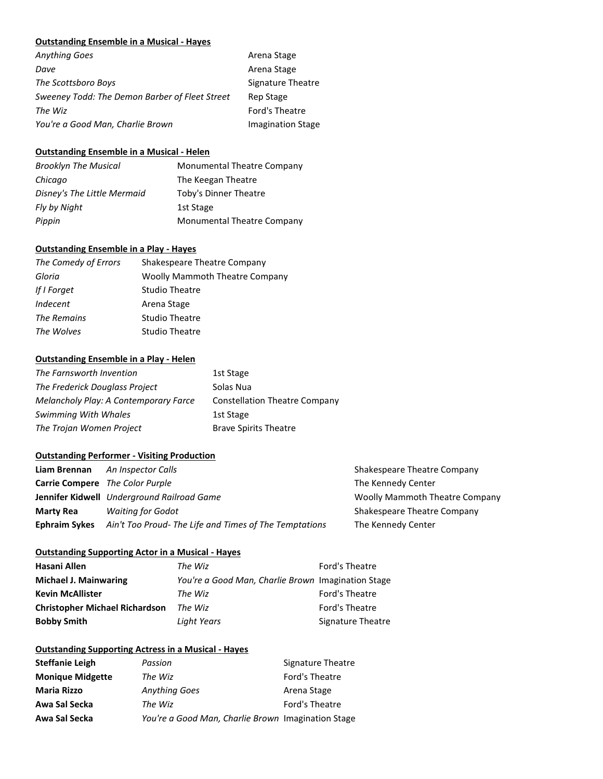#### **Outstanding Ensemble in a Musical - Hayes**

| <b>Anything Goes</b>                           | Arena Stage              |
|------------------------------------------------|--------------------------|
| Dave                                           | Arena Stage              |
| The Scottsboro Boys                            | Signature Theatre        |
| Sweeney Todd: The Demon Barber of Fleet Street | Rep Stage                |
| The Wiz                                        | Ford's Theatre           |
| You're a Good Man, Charlie Brown               | <b>Imagination Stage</b> |

# **Outstanding Ensemble in a Musical - Helen**

| <b>Brooklyn The Musical</b> | <b>Monumental Theatre Company</b> |
|-----------------------------|-----------------------------------|
| Chicago                     | The Keegan Theatre                |
| Disney's The Little Mermaid | Toby's Dinner Theatre             |
| Fly by Night                | 1st Stage                         |
| Pippin                      | Monumental Theatre Company        |

# **Outstanding Ensemble in a Play - Hayes**

| The Comedy of Errors | Shakespeare Theatre Company           |
|----------------------|---------------------------------------|
| Gloria               | <b>Woolly Mammoth Theatre Company</b> |
| If I Forget          | <b>Studio Theatre</b>                 |
| Indecent             | Arena Stage                           |
| The Remains          | <b>Studio Theatre</b>                 |
| The Wolves           | <b>Studio Theatre</b>                 |

#### **Outstanding Ensemble in a Play - Helen**

| The Farnsworth Invention              | 1st Stage                            |
|---------------------------------------|--------------------------------------|
| The Frederick Douglass Project        | Solas Nua                            |
| Melancholy Play: A Contemporary Farce | <b>Constellation Theatre Company</b> |
| Swimming With Whales                  | 1st Stage                            |
| The Trojan Women Project              | <b>Brave Spirits Theatre</b>         |

# **Outstanding Performer - Visiting Production**

| Liam Brennan         | An Inspector Calls                                     | Shakespeare Theatre Company    |
|----------------------|--------------------------------------------------------|--------------------------------|
|                      | Carrie Compere The Color Purple                        | The Kennedy Center             |
|                      | <b>Jennifer Kidwell</b> Underground Railroad Game      | Woolly Mammoth Theatre Company |
| <b>Marty Rea</b>     | <b>Waiting for Godot</b>                               | Shakespeare Theatre Company    |
| <b>Ephraim Sykes</b> | Ain't Too Proud- The Life and Times of The Temptations | The Kennedy Center             |

#### **Outstanding Supporting Actor in a Musical - Hayes**

| Hasani Allen                          | The Wiz                                            | Ford's Theatre    |
|---------------------------------------|----------------------------------------------------|-------------------|
| <b>Michael J. Mainwaring</b>          | You're a Good Man, Charlie Brown Imagination Stage |                   |
| <b>Kevin McAllister</b>               | The Wiz                                            | Ford's Theatre    |
| <b>Christopher Michael Richardson</b> | The Wiz                                            | Ford's Theatre    |
| <b>Bobby Smith</b>                    | Light Years                                        | Signature Theatre |

#### **Outstanding Supporting Actress in a Musical - Hayes**

| <b>Steffanie Leigh</b>  | Passion                                            | Signature Theatre |
|-------------------------|----------------------------------------------------|-------------------|
| <b>Monique Midgette</b> | The Wiz                                            | Ford's Theatre    |
| <b>Maria Rizzo</b>      | <b>Anything Goes</b>                               | Arena Stage       |
| Awa Sal Secka           | The Wiz                                            | Ford's Theatre    |
| Awa Sal Secka           | You're a Good Man, Charlie Brown Imagination Stage |                   |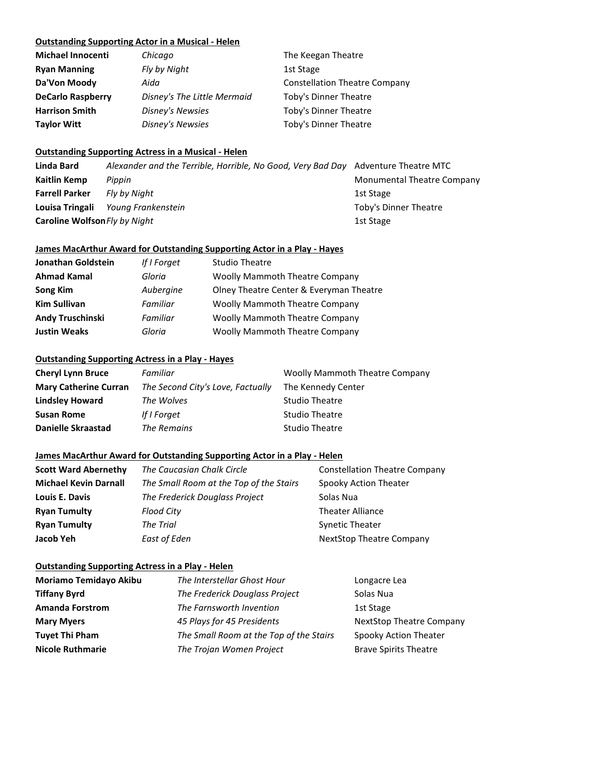#### **Outstanding Supporting Actor in a Musical - Helen**

| <b>Michael Innocenti</b> | Chicago                     | The Keegan Theatre                   |
|--------------------------|-----------------------------|--------------------------------------|
| <b>Ryan Manning</b>      | Fly by Night                | 1st Stage                            |
| Da'Von Moody             | Aida                        | <b>Constellation Theatre Company</b> |
| <b>DeCarlo Raspberry</b> | Disney's The Little Mermaid | Toby's Dinner Theatre                |
| <b>Harrison Smith</b>    | Disney's Newsies            | Toby's Dinner Theatre                |
| <b>Taylor Witt</b>       | Disney's Newsies            | Toby's Dinner Theatre                |

# **Outstanding Supporting Actress in a Musical - Helen**

| Linda Bard                    | Alexander and the Terrible, Horrible, No Good, Very Bad Day Adventure Theatre MTC |                            |
|-------------------------------|-----------------------------------------------------------------------------------|----------------------------|
| Kaitlin Kemp                  | Pippin                                                                            | Monumental Theatre Company |
| <b>Farrell Parker</b>         | Fly by Niaht                                                                      | 1st Stage                  |
| Louisa Tringali               | Young Frankenstein                                                                | Toby's Dinner Theatre      |
| Caroline Wolfson Fly by Night |                                                                                   | 1st Stage                  |

# **James MacArthur Award for Outstanding Supporting Actor in a Play - Hayes**

| Jonathan Goldstein      | If I Forget | <b>Studio Theatre</b>                   |
|-------------------------|-------------|-----------------------------------------|
| <b>Ahmad Kamal</b>      | Gloria      | <b>Woolly Mammoth Theatre Company</b>   |
| Song Kim                | Aubergine   | Olney Theatre Center & Everyman Theatre |
| <b>Kim Sullivan</b>     | Familiar    | <b>Woolly Mammoth Theatre Company</b>   |
| <b>Andy Truschinski</b> | Familiar    | <b>Woolly Mammoth Theatre Company</b>   |
| <b>Justin Weaks</b>     | Gloria      | <b>Woolly Mammoth Theatre Company</b>   |

#### **Outstanding Supporting Actress in a Play - Hayes**

| Familiar                          | <b>Woolly Mammoth Theatre Company</b> |
|-----------------------------------|---------------------------------------|
| The Second City's Love, Factually | The Kennedy Center                    |
| The Wolves                        | <b>Studio Theatre</b>                 |
| If I Forget                       | <b>Studio Theatre</b>                 |
| The Remains                       | <b>Studio Theatre</b>                 |
|                                   |                                       |

# **James MacArthur Award for Outstanding Supporting Actor in a Play - Helen**

| <b>Scott Ward Abernethy</b>  | The Caucasian Chalk Circle              | <b>Constellation Theatre Company</b> |
|------------------------------|-----------------------------------------|--------------------------------------|
| <b>Michael Kevin Darnall</b> | The Small Room at the Top of the Stairs | Spooky Action Theater                |
| Louis E. Davis               | The Frederick Douglass Project          | Solas Nua                            |
| <b>Ryan Tumulty</b>          | Flood City                              | <b>Theater Alliance</b>              |
| <b>Ryan Tumulty</b>          | The Trial                               | <b>Synetic Theater</b>               |
| Jacob Yeh                    | East of Eden                            | <b>NextStop Theatre Company</b>      |

#### **Outstanding Supporting Actress in a Play - Helen**

| <b>Moriamo Temidayo Akibu</b> | The Interstellar Ghost Hour             | Longacre Lea                    |
|-------------------------------|-----------------------------------------|---------------------------------|
| <b>Tiffany Byrd</b>           | The Frederick Douglass Project          | Solas Nua                       |
| <b>Amanda Forstrom</b>        | The Farnsworth Invention                | 1st Stage                       |
| <b>Mary Myers</b>             | 45 Plays for 45 Presidents              | <b>NextStop Theatre Company</b> |
| <b>Tuyet Thi Pham</b>         | The Small Room at the Top of the Stairs | Spooky Action Theater           |
| <b>Nicole Ruthmarie</b>       | The Trojan Women Project                | <b>Brave Spirits Theatre</b>    |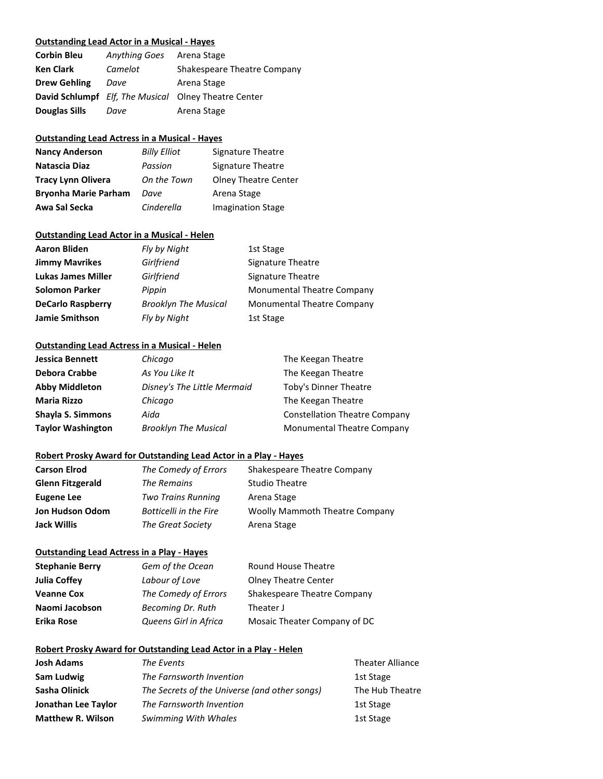#### **Outstanding Lead Actor in a Musical - Hayes**

| <b>Corbin Bleu</b>   | <b>Anything Goes</b> | Arena Stage                                                 |
|----------------------|----------------------|-------------------------------------------------------------|
| <b>Ken Clark</b>     | Camelot              | Shakespeare Theatre Company                                 |
| <b>Drew Gehling</b>  | Dave                 | Arena Stage                                                 |
|                      |                      | <b>David Schlumpf</b> Elf, The Musical Olney Theatre Center |
| <b>Douglas Sills</b> | Dave                 | Arena Stage                                                 |

# **Outstanding Lead Actress in a Musical - Hayes**

| <b>Nancy Anderson</b>       | <b>Billy Elliot</b> | <b>Signature Theatre</b>    |
|-----------------------------|---------------------|-----------------------------|
| Natascia Diaz               | Passion             | Signature Theatre           |
| <b>Tracy Lynn Olivera</b>   | On the Town         | <b>Olney Theatre Center</b> |
| <b>Bryonha Marie Parham</b> | Dave                | Arena Stage                 |
| Awa Sal Secka               | Cinderella          | <b>Imagination Stage</b>    |

# **Outstanding Lead Actor in a Musical - Helen**

| <b>Aaron Bliden</b>       | Fly by Night                | 1st Stage                         |
|---------------------------|-----------------------------|-----------------------------------|
| <b>Jimmy Mavrikes</b>     | Girlfriend                  | Signature Theatre                 |
| <b>Lukas James Miller</b> | Girlfriend                  | Signature Theatre                 |
| <b>Solomon Parker</b>     | Pippin                      | <b>Monumental Theatre Company</b> |
| <b>DeCarlo Raspberry</b>  | <b>Brooklyn The Musical</b> | <b>Monumental Theatre Company</b> |
| <b>Jamie Smithson</b>     | Fly by Night                | 1st Stage                         |

# **Outstanding Lead Actress in a Musical - Helen**

| Jessica Bennett          | Chicago                     | The Keegan Theatre                   |
|--------------------------|-----------------------------|--------------------------------------|
| Debora Crabbe            | As You Like It              | The Keegan Theatre                   |
| <b>Abby Middleton</b>    | Disney's The Little Mermaid | Toby's Dinner Theatre                |
| <b>Maria Rizzo</b>       | Chicago                     | The Keegan Theatre                   |
| Shayla S. Simmons        | Aida                        | <b>Constellation Theatre Company</b> |
| <b>Taylor Washington</b> | <b>Brooklyn The Musical</b> | <b>Monumental Theatre Company</b>    |

# **Robert Prosky Award for Outstanding Lead Actor in a Play - Hayes**

| <b>Carson Elrod</b>     | The Comedy of Errors          | Shakespeare Theatre Company           |
|-------------------------|-------------------------------|---------------------------------------|
| <b>Glenn Fitzgerald</b> | The Remains                   | <b>Studio Theatre</b>                 |
| Eugene Lee              | <b>Two Trains Running</b>     | Arena Stage                           |
| <b>Jon Hudson Odom</b>  | <b>Botticelli in the Fire</b> | <b>Woolly Mammoth Theatre Company</b> |
| <b>Jack Willis</b>      | The Great Society             | Arena Stage                           |

# **Outstanding Lead Actress in a Play - Hayes**

| <b>Stephanie Berry</b> | Gem of the Ocean      | Round House Theatre          |
|------------------------|-----------------------|------------------------------|
| <b>Julia Coffey</b>    | Labour of Love        | <b>Olney Theatre Center</b>  |
| <b>Veanne Cox</b>      | The Comedy of Errors  | Shakespeare Theatre Company  |
| Naomi Jacobson         | Becoming Dr. Ruth     | Theater J                    |
| <b>Erika Rose</b>      | Queens Girl in Africa | Mosaic Theater Company of DC |

# **Robert Prosky Award for Outstanding Lead Actor in a Play - Helen**

| <b>Josh Adams</b>        | The Events                                    | <b>Theater Alliance</b> |
|--------------------------|-----------------------------------------------|-------------------------|
| Sam Ludwig               | The Farnsworth Invention                      | 1st Stage               |
| Sasha Olinick            | The Secrets of the Universe (and other songs) | The Hub Theatre         |
| Jonathan Lee Taylor      | The Farnsworth Invention                      | 1st Stage               |
| <b>Matthew R. Wilson</b> | Swimming With Whales                          | 1st Stage               |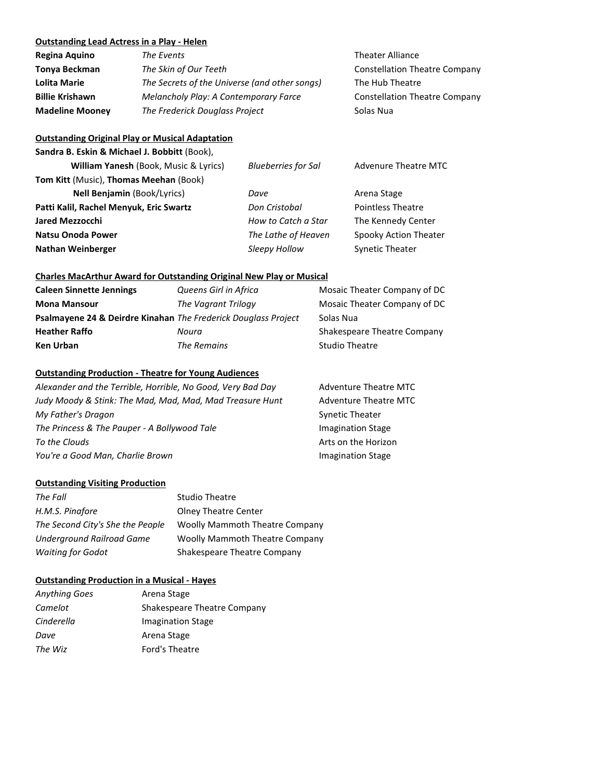#### **Outstanding Lead Actress in a Play - Helen**

| Regina Aquino          | The Events                                    | <b>Theater Alliance</b>              |
|------------------------|-----------------------------------------------|--------------------------------------|
| Tonya Beckman          | The Skin of Our Teeth                         | <b>Constellation Theatre Company</b> |
| <b>Lolita Marie</b>    | The Secrets of the Universe (and other songs) | The Hub Theatre                      |
| <b>Billie Krishawn</b> | Melancholy Play: A Contemporary Farce         | <b>Constellation Theatre Company</b> |
| <b>Madeline Mooney</b> | The Frederick Douglass Project                | Solas Nua                            |

# **Outstanding Original Play or Musical Adaptation**

| William Yanesh (Book, Music & Lyrics)<br><b>Blueberries for Sal</b><br><b>Advenure Theatre MTC</b> |  |
|----------------------------------------------------------------------------------------------------|--|
| Tom Kitt (Music), Thomas Meehan (Book)                                                             |  |
| <b>Nell Benjamin (Book/Lyrics)</b><br>Arena Stage<br>Dave                                          |  |
| Patti Kalil, Rachel Menyuk, Eric Swartz<br><b>Pointless Theatre</b><br>Don Cristobal               |  |
| The Kennedy Center<br><b>Jared Mezzocchi</b><br>How to Catch a Star                                |  |
| The Lathe of Heaven<br>Spooky Action Theater<br><b>Natsu Onoda Power</b>                           |  |
| <b>Nathan Weinberger</b><br>Sleepy Hollow<br><b>Synetic Theater</b>                                |  |

## **Charles MacArthur Award for Outstanding Original New Play or Musical**

| <b>Caleen Sinnette Jennings</b>                                           | Queens Girl in Africa | Mosaic Theater Company of DC |
|---------------------------------------------------------------------------|-----------------------|------------------------------|
| <b>Mona Mansour</b>                                                       | The Vagrant Trilogy   | Mosaic Theater Company of DC |
| <b>Psalmayene 24 &amp; Deirdre Kinahan</b> The Frederick Douglass Project |                       | Solas Nua                    |
| <b>Heather Raffo</b>                                                      | Noura                 | Shakespeare Theatre Company  |
| <b>Ken Urban</b>                                                          | The Remains           | <b>Studio Theatre</b>        |

## **Outstanding Production - Theatre for Young Audiences**

| Alexander and the Terrible, Horrible, No Good, Very Bad Day | <b>Adventure Theatre MTC</b> |
|-------------------------------------------------------------|------------------------------|
| Judy Moody & Stink: The Mad, Mad, Mad, Mad Treasure Hunt    | Adventure Theatre MTC        |
| My Father's Dragon                                          | <b>Synetic Theater</b>       |
| The Princess & The Pauper - A Bollywood Tale                | Imagination Stage            |
| To the Clouds                                               | Arts on the Horizon          |
| You're a Good Man, Charlie Brown                            | Imagination Stage            |

#### **Outstanding Visiting Production**

**The Fall** Studio Theatre *H.M.S. Pinafore* **Olney Theatre Center** *The Second City's She the People* Woolly Mammoth Theatre Company *Underground Railroad Game* Woolly Mammoth Theatre Company *Waiting for Godot* Shakespeare Theatre Company

#### **Outstanding Production in a Musical - Hayes**

| Anything Goes | Arena Stage                 |
|---------------|-----------------------------|
| Camelot       | Shakespeare Theatre Company |
| Cinderella    | <b>Imagination Stage</b>    |
| Dave          | Arena Stage                 |
| The Wiz       | Ford's Theatre              |